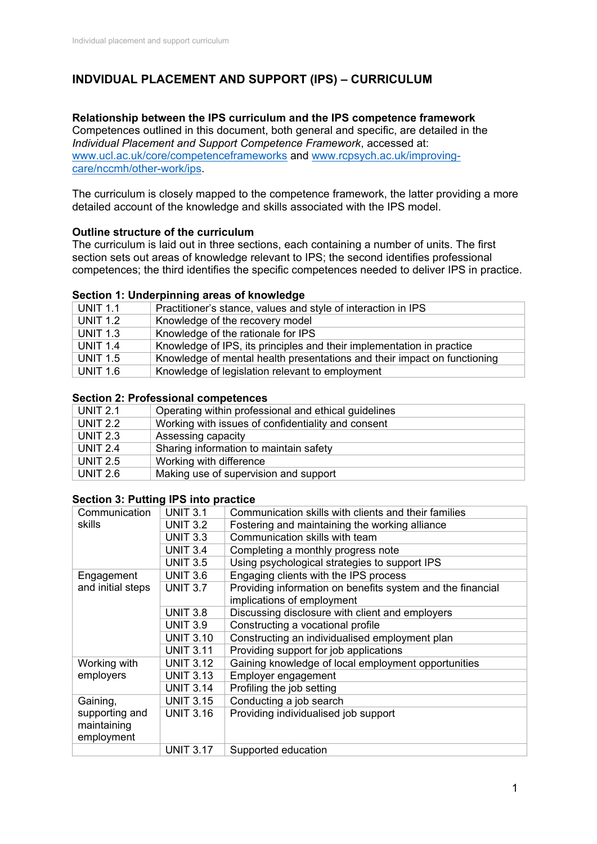# **INDVIDUAL PLACEMENT AND SUPPORT (IPS) – CURRICULUM**

#### **Relationship between the IPS curriculum and the IPS competence framework**

Competences outlined in this document, both general and specific, are detailed in the *Individual Placement and Support Competence Framework*, accessed at: [www.ucl.ac.uk/core/competenceframeworks](http://www.ucl.ac.uk/core/competenceframeworks) and www.rcpsych.ac.uk/improvingcare/nccmh/other-work/ips.

The curriculum is closely mapped to the competence framework, the latter providing a more detailed account of the knowledge and skills associated with the IPS model.

## **Outline structure of the curriculum**

The curriculum is laid out in three sections, each containing a number of units. The first section sets out areas of knowledge relevant to IPS; the second identifies professional competences; the third identifies the specific competences needed to deliver IPS in practice.

#### **Section 1: Underpinning areas of knowledge**

| <b>UNIT 1.1</b> | Practitioner's stance, values and style of interaction in IPS            |  |  |
|-----------------|--------------------------------------------------------------------------|--|--|
| <b>UNIT 1.2</b> | Knowledge of the recovery model                                          |  |  |
| <b>UNIT 1.3</b> | Knowledge of the rationale for IPS                                       |  |  |
| <b>UNIT 1.4</b> | Knowledge of IPS, its principles and their implementation in practice    |  |  |
| <b>UNIT 1.5</b> | Knowledge of mental health presentations and their impact on functioning |  |  |
| <b>UNIT 1.6</b> | Knowledge of legislation relevant to employment                          |  |  |

#### **Section 2: Professional competences**

| <b>UNIT 2.1</b> | Operating within professional and ethical guidelines |  |  |
|-----------------|------------------------------------------------------|--|--|
| <b>UNIT 2.2</b> | Working with issues of confidentiality and consent   |  |  |
| <b>UNIT 2.3</b> | Assessing capacity                                   |  |  |
| <b>UNIT 2.4</b> | Sharing information to maintain safety               |  |  |
| <b>UNIT 2.5</b> | Working with difference                              |  |  |
| <b>UNIT 2.6</b> | Making use of supervision and support                |  |  |

#### **Section 3: Putting IPS into practice**

| Communication<br>skills         | <b>UNIT 3.1</b>  | Communication skills with clients and their families       |
|---------------------------------|------------------|------------------------------------------------------------|
|                                 | <b>UNIT 3.2</b>  | Fostering and maintaining the working alliance             |
|                                 | <b>UNIT 3.3</b>  | Communication skills with team                             |
|                                 | <b>UNIT 3.4</b>  | Completing a monthly progress note                         |
|                                 | <b>UNIT 3.5</b>  | Using psychological strategies to support IPS              |
| Engagement<br>and initial steps | <b>UNIT 3.6</b>  | Engaging clients with the IPS process                      |
|                                 | <b>UNIT 3.7</b>  | Providing information on benefits system and the financial |
|                                 |                  | implications of employment                                 |
|                                 | <b>UNIT 3.8</b>  | Discussing disclosure with client and employers            |
|                                 | <b>UNIT 3.9</b>  | Constructing a vocational profile                          |
|                                 | <b>UNIT 3.10</b> | Constructing an individualised employment plan             |
|                                 | <b>UNIT 3.11</b> | Providing support for job applications                     |
| Working with<br>employers       | <b>UNIT 3.12</b> | Gaining knowledge of local employment opportunities        |
|                                 | <b>UNIT 3.13</b> | Employer engagement                                        |
|                                 | <b>UNIT 3.14</b> | Profiling the job setting                                  |
| Gaining,<br>supporting and      | <b>UNIT 3.15</b> | Conducting a job search                                    |
|                                 | <b>UNIT 3.16</b> | Providing individualised job support                       |
| maintaining                     |                  |                                                            |
| employment                      |                  |                                                            |
|                                 | <b>UNIT 3.17</b> | Supported education                                        |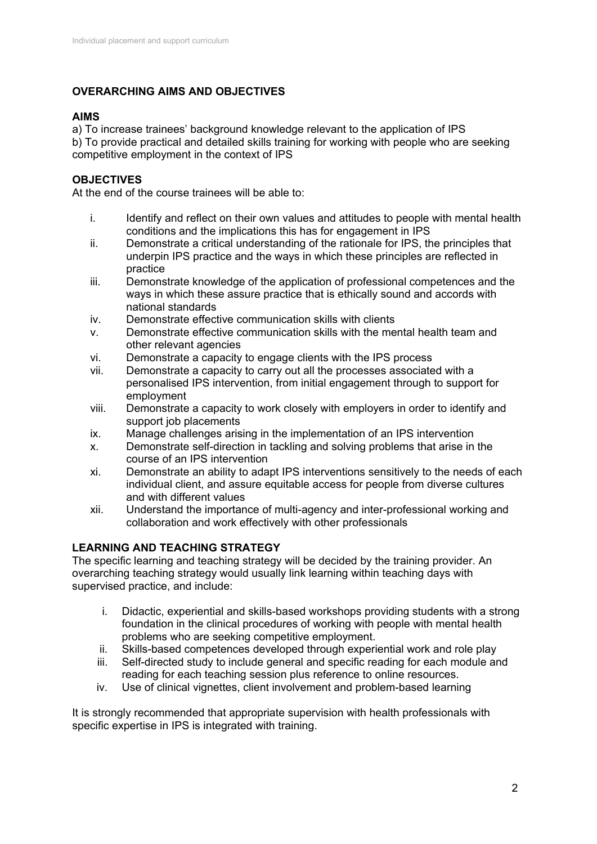## **OVERARCHING AIMS AND OBJECTIVES**

## **AIMS**

a) To increase trainees' background knowledge relevant to the application of IPS b) To provide practical and detailed skills training for working with people who are seeking competitive employment in the context of IPS

## **OBJECTIVES**

At the end of the course trainees will be able to:

- i. Identify and reflect on their own values and attitudes to people with mental health conditions and the implications this has for engagement in IPS
- ii. Demonstrate a critical understanding of the rationale for IPS, the principles that underpin IPS practice and the ways in which these principles are reflected in practice
- iii. Demonstrate knowledge of the application of professional competences and the ways in which these assure practice that is ethically sound and accords with national standards
- iv. Demonstrate effective communication skills with clients
- v. Demonstrate effective communication skills with the mental health team and other relevant agencies
- vi. Demonstrate a capacity to engage clients with the IPS process
- vii. Demonstrate a capacity to carry out all the processes associated with a personalised IPS intervention, from initial engagement through to support for employment
- viii. Demonstrate a capacity to work closely with employers in order to identify and support job placements
- ix. Manage challenges arising in the implementation of an IPS intervention
- x. Demonstrate self-direction in tackling and solving problems that arise in the course of an IPS intervention
- xi. Demonstrate an ability to adapt IPS interventions sensitively to the needs of each individual client, and assure equitable access for people from diverse cultures and with different values
- xii. Understand the importance of multi-agency and inter-professional working and collaboration and work effectively with other professionals

#### **LEARNING AND TEACHING STRATEGY**

The specific learning and teaching strategy will be decided by the training provider. An overarching teaching strategy would usually link learning within teaching days with supervised practice, and include:

- i. Didactic, experiential and skills-based workshops providing students with a strong foundation in the clinical procedures of working with people with mental health problems who are seeking competitive employment.
- ii. Skills-based competences developed through experiential work and role play
- iii. Self-directed study to include general and specific reading for each module and reading for each teaching session plus reference to online resources.
- iv. Use of clinical vignettes, client involvement and problem-based learning

It is strongly recommended that appropriate supervision with health professionals with specific expertise in IPS is integrated with training.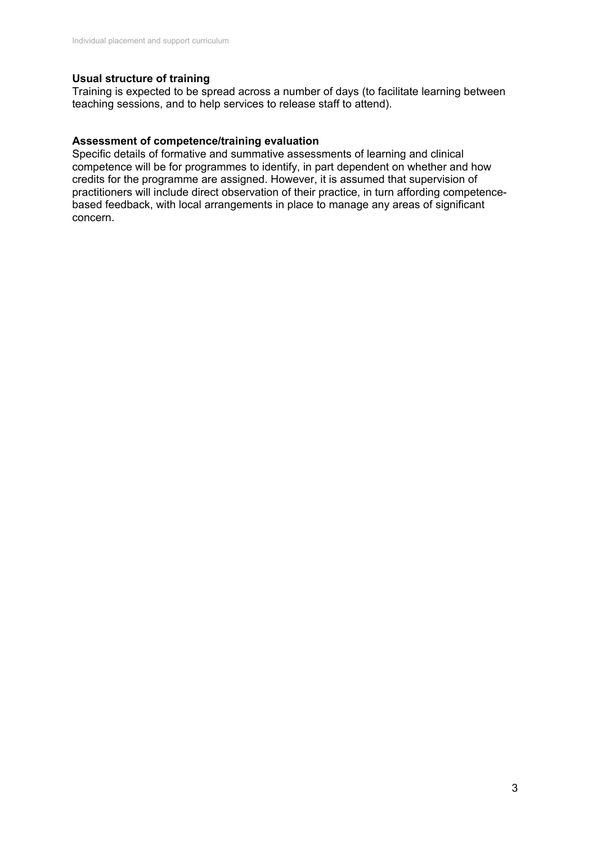#### **Usual structure of training**

Training is expected to be spread across a number of days (to facilitate learning between teaching sessions, and to help services to release staff to attend).

#### **Assessment of competence/training evaluation**

Specific details of formative and summative assessments of learning and clinical competence will be for programmes to identify, in part dependent on whether and how credits for the programme are assigned. However, it is assumed that supervision of practitioners will include direct observation of their practice, in turn affording competencebased feedback, with local arrangements in place to manage any areas of significant concern.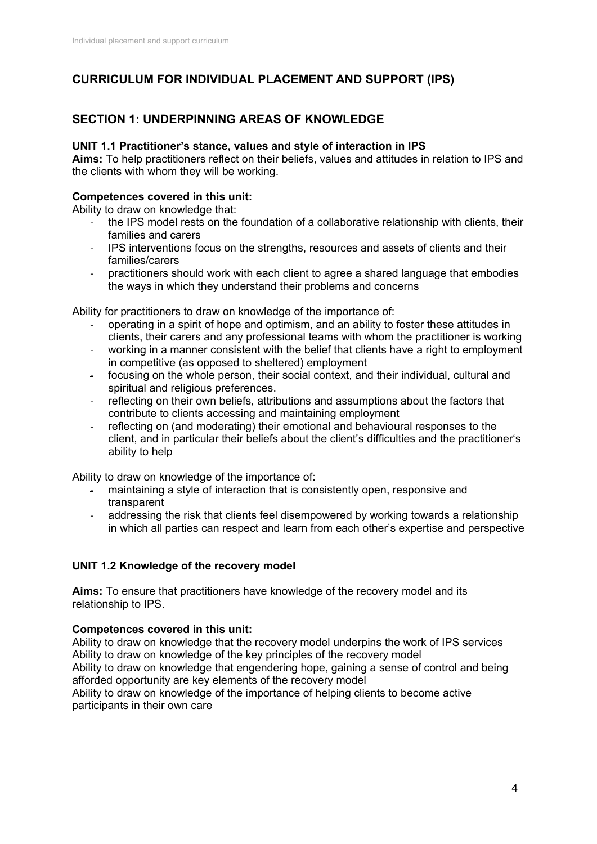# **CURRICULUM FOR INDIVIDUAL PLACEMENT AND SUPPORT (IPS)**

## **SECTION 1: UNDERPINNING AREAS OF KNOWLEDGE**

## **UNIT 1.1 Practitioner's stance, values and style of interaction in IPS**

**Aims:** To help practitioners reflect on their beliefs, values and attitudes in relation to IPS and the clients with whom they will be working.

## **Competences covered in this unit:**

Ability to draw on knowledge that:

- the IPS model rests on the foundation of a collaborative relationship with clients, their families and carers
- IPS interventions focus on the strengths, resources and assets of clients and their families/carers
- practitioners should work with each client to agree a shared language that embodies the ways in which they understand their problems and concerns

Ability for practitioners to draw on knowledge of the importance of:

- operating in a spirit of hope and optimism, and an ability to foster these attitudes in clients, their carers and any professional teams with whom the practitioner is working
- working in a manner consistent with the belief that clients have a right to employment in competitive (as opposed to sheltered) employment
- focusing on the whole person, their social context, and their individual, cultural and spiritual and religious preferences.
- reflecting on their own beliefs, attributions and assumptions about the factors that contribute to clients accessing and maintaining employment
- reflecting on (and moderating) their emotional and behavioural responses to the client, and in particular their beliefs about the client's difficulties and the practitioner's ability to help

Ability to draw on knowledge of the importance of:

- maintaining a style of interaction that is consistently open, responsive and transparent
- addressing the risk that clients feel disempowered by working towards a relationship in which all parties can respect and learn from each other's expertise and perspective

## **UNIT 1.2 Knowledge of the recovery model**

**Aims:** To ensure that practitioners have knowledge of the recovery model and its relationship to IPS.

#### **Competences covered in this unit:**

Ability to draw on knowledge that the recovery model underpins the work of IPS services Ability to draw on knowledge of the key principles of the recovery model Ability to draw on knowledge that engendering hope, gaining a sense of control and being afforded opportunity are key elements of the recovery model

Ability to draw on knowledge of the importance of helping clients to become active participants in their own care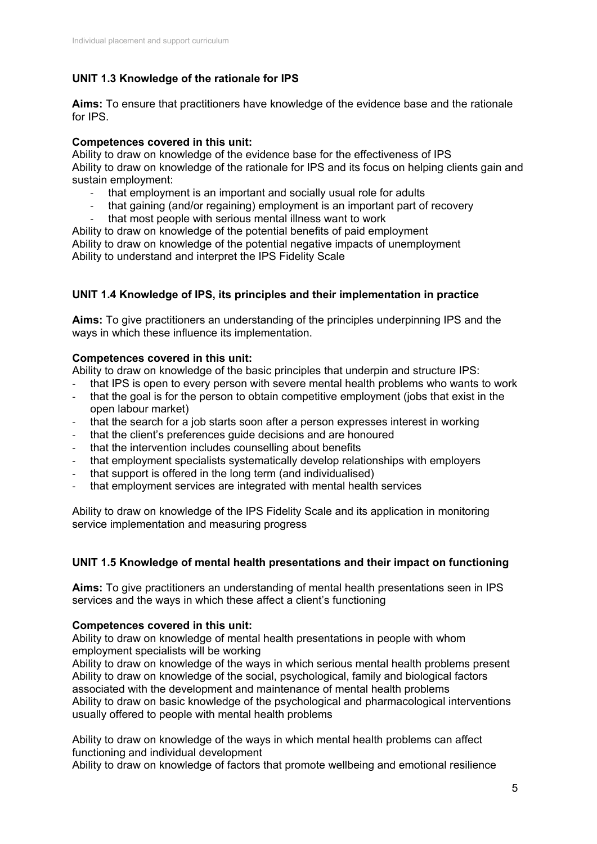## **UNIT 1.3 Knowledge of the rationale for IPS**

**Aims:** To ensure that practitioners have knowledge of the evidence base and the rationale for IPS.

#### **Competences covered in this unit:**

Ability to draw on knowledge of the evidence base for the effectiveness of IPS Ability to draw on knowledge of the rationale for IPS and its focus on helping clients gain and sustain employment:

- that employment is an important and socially usual role for adults
- that gaining (and/or regaining) employment is an important part of recovery
- that most people with serious mental illness want to work

Ability to draw on knowledge of the potential benefits of paid employment Ability to draw on knowledge of the potential negative impacts of unemployment Ability to understand and interpret the IPS Fidelity Scale

## **UNIT 1.4 Knowledge of IPS, its principles and their implementation in practice**

**Aims:** To give practitioners an understanding of the principles underpinning IPS and the ways in which these influence its implementation.

#### **Competences covered in this unit:**

Ability to draw on knowledge of the basic principles that underpin and structure IPS:

- that IPS is open to every person with severe mental health problems who wants to work
- that the goal is for the person to obtain competitive employment (jobs that exist in the open labour market)
- that the search for a job starts soon after a person expresses interest in working
- that the client's preferences guide decisions and are honoured
- that the intervention includes counselling about benefits
- that employment specialists systematically develop relationships with employers
- that support is offered in the long term (and individualised)
- that employment services are integrated with mental health services

Ability to draw on knowledge of the IPS Fidelity Scale and its application in monitoring service implementation and measuring progress

#### **UNIT 1.5 Knowledge of mental health presentations and their impact on functioning**

**Aims:** To give practitioners an understanding of mental health presentations seen in IPS services and the ways in which these affect a client's functioning

#### **Competences covered in this unit:**

Ability to draw on knowledge of mental health presentations in people with whom employment specialists will be working

Ability to draw on knowledge of the ways in which serious mental health problems present Ability to draw on knowledge of the social, psychological, family and biological factors associated with the development and maintenance of mental health problems Ability to draw on basic knowledge of the psychological and pharmacological interventions usually offered to people with mental health problems

Ability to draw on knowledge of the ways in which mental health problems can affect functioning and individual development

Ability to draw on knowledge of factors that promote wellbeing and emotional resilience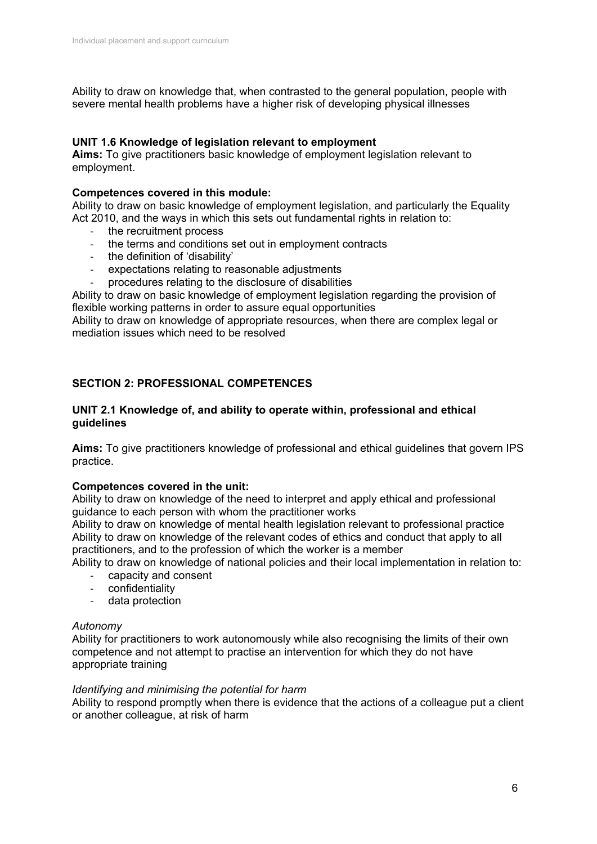Ability to draw on knowledge that, when contrasted to the general population, people with severe mental health problems have a higher risk of developing physical illnesses

## **UNIT 1.6 Knowledge of legislation relevant to employment**

**Aims:** To give practitioners basic knowledge of employment legislation relevant to employment.

#### **Competences covered in this module:**

Ability to draw on basic knowledge of employment legislation, and particularly the Equality Act 2010, and the ways in which this sets out fundamental rights in relation to:

- the recruitment process
- the terms and conditions set out in employment contracts
- the definition of 'disability'
- expectations relating to reasonable adjustments
- procedures relating to the disclosure of disabilities

Ability to draw on basic knowledge of employment legislation regarding the provision of flexible working patterns in order to assure equal opportunities

Ability to draw on knowledge of appropriate resources, when there are complex legal or mediation issues which need to be resolved

## **SECTION 2: PROFESSIONAL COMPETENCES**

#### **UNIT 2.1 Knowledge of, and ability to operate within, professional and ethical guidelines**

**Aims:** To give practitioners knowledge of professional and ethical guidelines that govern IPS practice.

#### **Competences covered in the unit:**

Ability to draw on knowledge of the need to interpret and apply ethical and professional guidance to each person with whom the practitioner works

Ability to draw on knowledge of mental health legislation relevant to professional practice Ability to draw on knowledge of the relevant codes of ethics and conduct that apply to all practitioners, and to the profession of which the worker is a member

Ability to draw on knowledge of national policies and their local implementation in relation to:

- capacity and consent
- confidentiality
- data protection

#### *Autonomy*

Ability for practitioners to work autonomously while also recognising the limits of their own competence and not attempt to practise an intervention for which they do not have appropriate training

#### *Identifying and minimising the potential for harm*

Ability to respond promptly when there is evidence that the actions of a colleague put a client or another colleague, at risk of harm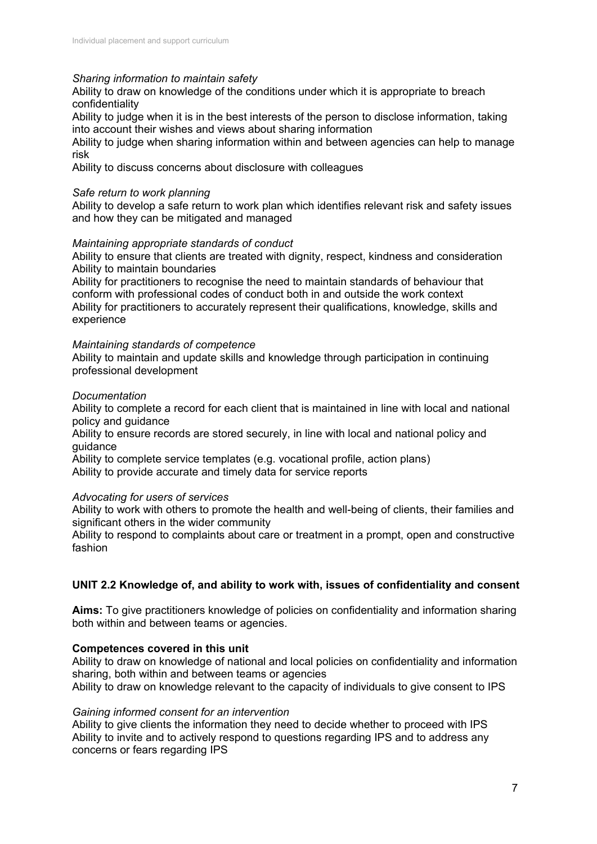#### *Sharing information to maintain safety*

Ability to draw on knowledge of the conditions under which it is appropriate to breach confidentiality

Ability to judge when it is in the best interests of the person to disclose information, taking into account their wishes and views about sharing information

Ability to judge when sharing information within and between agencies can help to manage risk

Ability to discuss concerns about disclosure with colleagues

#### *Safe return to work planning*

Ability to develop a safe return to work plan which identifies relevant risk and safety issues and how they can be mitigated and managed

#### *Maintaining appropriate standards of conduct*

Ability to ensure that clients are treated with dignity, respect, kindness and consideration Ability to maintain boundaries

Ability for practitioners to recognise the need to maintain standards of behaviour that conform with professional codes of conduct both in and outside the work context Ability for practitioners to accurately represent their qualifications, knowledge, skills and experience

#### *Maintaining standards of competence*

Ability to maintain and update skills and knowledge through participation in continuing professional development

#### *Documentation*

Ability to complete a record for each client that is maintained in line with local and national policy and guidance

Ability to ensure records are stored securely, in line with local and national policy and guidance

Ability to complete service templates (e.g. vocational profile, action plans) Ability to provide accurate and timely data for service reports

#### *Advocating for users of services*

Ability to work with others to promote the health and well-being of clients, their families and significant others in the wider community

Ability to respond to complaints about care or treatment in a prompt, open and constructive fashion

#### **UNIT 2.2 Knowledge of, and ability to work with, issues of confidentiality and consent**

**Aims:** To give practitioners knowledge of policies on confidentiality and information sharing both within and between teams or agencies.

#### **Competences covered in this unit**

Ability to draw on knowledge of national and local policies on confidentiality and information sharing, both within and between teams or agencies

Ability to draw on knowledge relevant to the capacity of individuals to give consent to IPS

#### *Gaining informed consent for an intervention*

Ability to give clients the information they need to decide whether to proceed with IPS Ability to invite and to actively respond to questions regarding IPS and to address any concerns or fears regarding IPS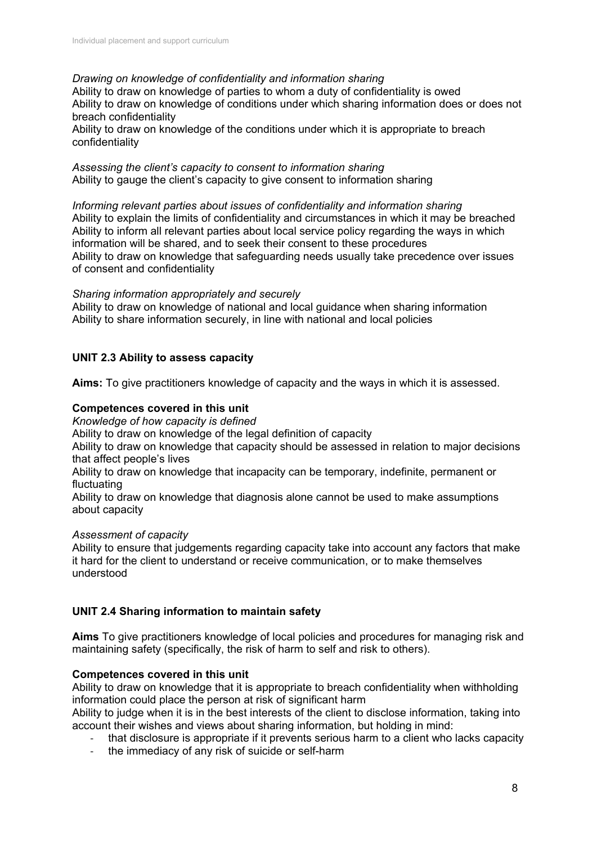*Drawing on knowledge of confidentiality and information sharing* Ability to draw on knowledge of parties to whom a duty of confidentiality is owed Ability to draw on knowledge of conditions under which sharing information does or does not breach confidentiality Ability to draw on knowledge of the conditions under which it is appropriate to breach confidentiality

*Assessing the client's capacity to consent to information sharing* Ability to gauge the client's capacity to give consent to information sharing

*Informing relevant parties about issues of confidentiality and information sharing* Ability to explain the limits of confidentiality and circumstances in which it may be breached Ability to inform all relevant parties about local service policy regarding the ways in which information will be shared, and to seek their consent to these procedures Ability to draw on knowledge that safeguarding needs usually take precedence over issues of consent and confidentiality

#### *Sharing information appropriately and securely*

Ability to draw on knowledge of national and local guidance when sharing information Ability to share information securely, in line with national and local policies

#### **UNIT 2.3 Ability to assess capacity**

**Aims:** To give practitioners knowledge of capacity and the ways in which it is assessed.

#### **Competences covered in this unit**

*Knowledge of how capacity is defined*

Ability to draw on knowledge of the legal definition of capacity

Ability to draw on knowledge that capacity should be assessed in relation to major decisions that affect people's lives

Ability to draw on knowledge that incapacity can be temporary, indefinite, permanent or fluctuating

Ability to draw on knowledge that diagnosis alone cannot be used to make assumptions about capacity

#### *Assessment of capacity*

Ability to ensure that judgements regarding capacity take into account any factors that make it hard for the client to understand or receive communication, or to make themselves understood

#### **UNIT 2.4 Sharing information to maintain safety**

**Aims** To give practitioners knowledge of local policies and procedures for managing risk and maintaining safety (specifically, the risk of harm to self and risk to others).

#### **Competences covered in this unit**

Ability to draw on knowledge that it is appropriate to breach confidentiality when withholding information could place the person at risk of significant harm

Ability to judge when it is in the best interests of the client to disclose information, taking into account their wishes and views about sharing information, but holding in mind:

- that disclosure is appropriate if it prevents serious harm to a client who lacks capacity
- the immediacy of any risk of suicide or self-harm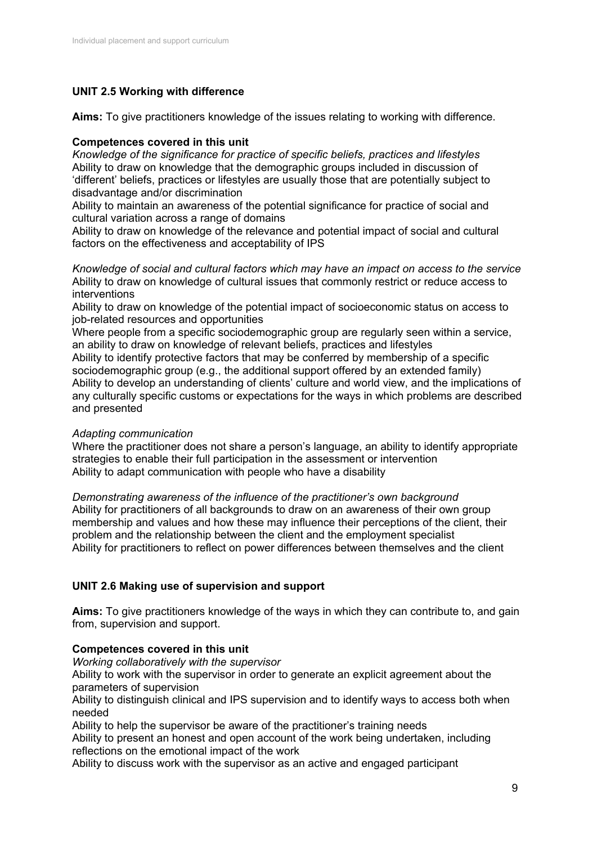## **UNIT 2.5 Working with difference**

**Aims:** To give practitioners knowledge of the issues relating to working with difference.

## **Competences covered in this unit**

*Knowledge of the significance for practice of specific beliefs, practices and lifestyles* Ability to draw on knowledge that the demographic groups included in discussion of 'different' beliefs, practices or lifestyles are usually those that are potentially subject to disadvantage and/or discrimination

Ability to maintain an awareness of the potential significance for practice of social and cultural variation across a range of domains

Ability to draw on knowledge of the relevance and potential impact of social and cultural factors on the effectiveness and acceptability of IPS

*Knowledge of social and cultural factors which may have an impact on access to the service* Ability to draw on knowledge of cultural issues that commonly restrict or reduce access to interventions

Ability to draw on knowledge of the potential impact of socioeconomic status on access to job-related resources and opportunities

Where people from a specific sociodemographic group are regularly seen within a service, an ability to draw on knowledge of relevant beliefs, practices and lifestyles

Ability to identify protective factors that may be conferred by membership of a specific sociodemographic group (e.g., the additional support offered by an extended family) Ability to develop an understanding of clients' culture and world view, and the implications of any culturally specific customs or expectations for the ways in which problems are described and presented

#### *Adapting communication*

Where the practitioner does not share a person's language, an ability to identify appropriate strategies to enable their full participation in the assessment or intervention Ability to adapt communication with people who have a disability

*Demonstrating awareness of the influence of the practitioner's own background* Ability for practitioners of all backgrounds to draw on an awareness of their own group membership and values and how these may influence their perceptions of the client, their problem and the relationship between the client and the employment specialist Ability for practitioners to reflect on power differences between themselves and the client

## **UNIT 2.6 Making use of supervision and support**

**Aims:** To give practitioners knowledge of the ways in which they can contribute to, and gain from, supervision and support.

## **Competences covered in this unit**

*Working collaboratively with the supervisor* 

Ability to work with the supervisor in order to generate an explicit agreement about the parameters of supervision

Ability to distinguish clinical and IPS supervision and to identify ways to access both when needed

Ability to help the supervisor be aware of the practitioner's training needs

Ability to present an honest and open account of the work being undertaken, including reflections on the emotional impact of the work

Ability to discuss work with the supervisor as an active and engaged participant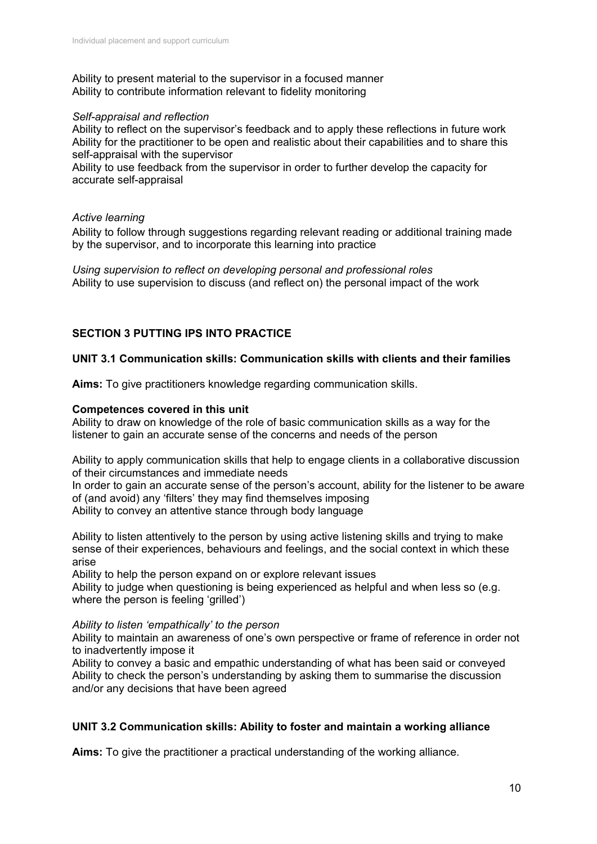Ability to present material to the supervisor in a focused manner Ability to contribute information relevant to fidelity monitoring

#### *Self-appraisal and reflection*

Ability to reflect on the supervisor's feedback and to apply these reflections in future work Ability for the practitioner to be open and realistic about their capabilities and to share this self-appraisal with the supervisor

Ability to use feedback from the supervisor in order to further develop the capacity for accurate self-appraisal

#### *Active learning*

Ability to follow through suggestions regarding relevant reading or additional training made by the supervisor, and to incorporate this learning into practice

*Using supervision to reflect on developing personal and professional roles*  Ability to use supervision to discuss (and reflect on) the personal impact of the work

## **SECTION 3 PUTTING IPS INTO PRACTICE**

#### **UNIT 3.1 Communication skills: Communication skills with clients and their families**

**Aims:** To give practitioners knowledge regarding communication skills.

#### **Competences covered in this unit**

Ability to draw on knowledge of the role of basic communication skills as a way for the listener to gain an accurate sense of the concerns and needs of the person

Ability to apply communication skills that help to engage clients in a collaborative discussion of their circumstances and immediate needs

In order to gain an accurate sense of the person's account, ability for the listener to be aware of (and avoid) any 'filters' they may find themselves imposing Ability to convey an attentive stance through body language

Ability to listen attentively to the person by using active listening skills and trying to make sense of their experiences, behaviours and feelings, and the social context in which these arise

Ability to help the person expand on or explore relevant issues

Ability to judge when questioning is being experienced as helpful and when less so (e.g. where the person is feeling 'grilled')

#### *Ability to listen 'empathically' to the person*

Ability to maintain an awareness of one's own perspective or frame of reference in order not to inadvertently impose it

Ability to convey a basic and empathic understanding of what has been said or conveyed Ability to check the person's understanding by asking them to summarise the discussion and/or any decisions that have been agreed

#### **UNIT 3.2 Communication skills: Ability to foster and maintain a working alliance**

**Aims:** To give the practitioner a practical understanding of the working alliance.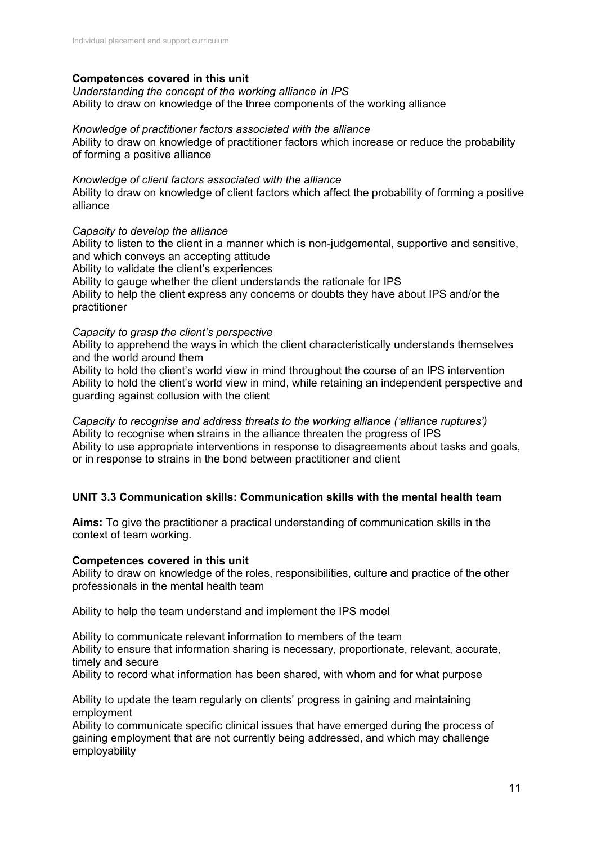## **Competences covered in this unit**

*Understanding the concept of the working alliance in IPS* Ability to draw on knowledge of the three components of the working alliance

#### *Knowledge of practitioner factors associated with the alliance*

Ability to draw on knowledge of practitioner factors which increase or reduce the probability of forming a positive alliance

#### *Knowledge of client factors associated with the alliance*

Ability to draw on knowledge of client factors which affect the probability of forming a positive alliance

#### *Capacity to develop the alliance*

Ability to listen to the client in a manner which is non-judgemental, supportive and sensitive, and which conveys an accepting attitude Ability to validate the client's experiences Ability to gauge whether the client understands the rationale for IPS Ability to help the client express any concerns or doubts they have about IPS and/or the practitioner

#### *Capacity to grasp the client's perspective*

Ability to apprehend the ways in which the client characteristically understands themselves and the world around them

Ability to hold the client's world view in mind throughout the course of an IPS intervention Ability to hold the client's world view in mind, while retaining an independent perspective and guarding against collusion with the client

*Capacity to recognise and address threats to the working alliance ('alliance ruptures')* Ability to recognise when strains in the alliance threaten the progress of IPS Ability to use appropriate interventions in response to disagreements about tasks and goals, or in response to strains in the bond between practitioner and client

#### **UNIT 3.3 Communication skills: Communication skills with the mental health team**

**Aims:** To give the practitioner a practical understanding of communication skills in the context of team working.

#### **Competences covered in this unit**

Ability to draw on knowledge of the roles, responsibilities, culture and practice of the other professionals in the mental health team

Ability to help the team understand and implement the IPS model

Ability to communicate relevant information to members of the team Ability to ensure that information sharing is necessary, proportionate, relevant, accurate, timely and secure

Ability to record what information has been shared, with whom and for what purpose

Ability to update the team regularly on clients' progress in gaining and maintaining employment

Ability to communicate specific clinical issues that have emerged during the process of gaining employment that are not currently being addressed, and which may challenge employability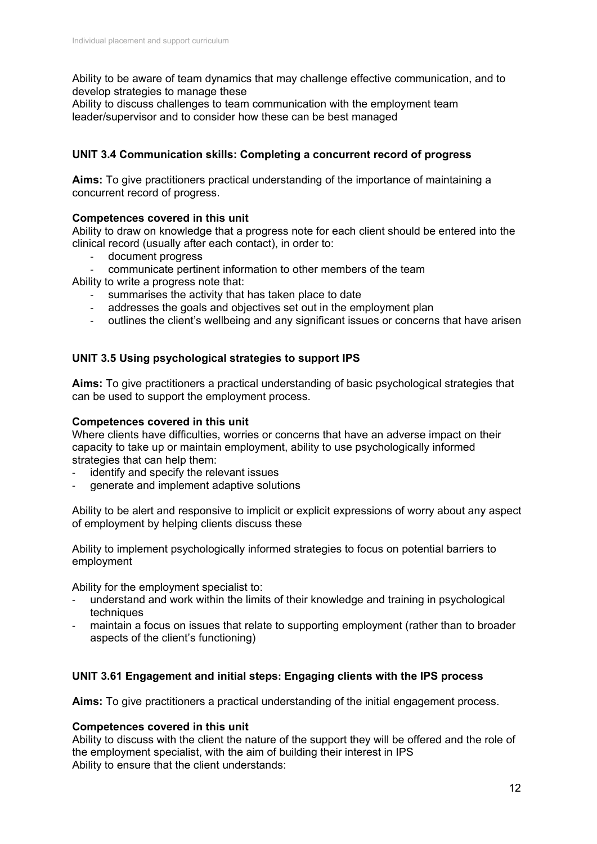Ability to be aware of team dynamics that may challenge effective communication, and to develop strategies to manage these

Ability to discuss challenges to team communication with the employment team leader/supervisor and to consider how these can be best managed

## **UNIT 3.4 Communication skills: Completing a concurrent record of progress**

**Aims:** To give practitioners practical understanding of the importance of maintaining a concurrent record of progress.

## **Competences covered in this unit**

Ability to draw on knowledge that a progress note for each client should be entered into the clinical record (usually after each contact), in order to:

- document progress
- communicate pertinent information to other members of the team

Ability to write a progress note that:

- summarises the activity that has taken place to date
- addresses the goals and objectives set out in the employment plan
- outlines the client's wellbeing and any significant issues or concerns that have arisen

## **UNIT 3.5 Using psychological strategies to support IPS**

**Aims:** To give practitioners a practical understanding of basic psychological strategies that can be used to support the employment process.

#### **Competences covered in this unit**

Where clients have difficulties, worries or concerns that have an adverse impact on their capacity to take up or maintain employment, ability to use psychologically informed strategies that can help them:

- identify and specify the relevant issues
- generate and implement adaptive solutions

Ability to be alert and responsive to implicit or explicit expressions of worry about any aspect of employment by helping clients discuss these

Ability to implement psychologically informed strategies to focus on potential barriers to employment

Ability for the employment specialist to:

- understand and work within the limits of their knowledge and training in psychological techniques
- maintain a focus on issues that relate to supporting employment (rather than to broader aspects of the client's functioning)

#### **UNIT 3.61 Engagement and initial steps: Engaging clients with the IPS process**

**Aims:** To give practitioners a practical understanding of the initial engagement process.

#### **Competences covered in this unit**

Ability to discuss with the client the nature of the support they will be offered and the role of the employment specialist, with the aim of building their interest in IPS Ability to ensure that the client understands: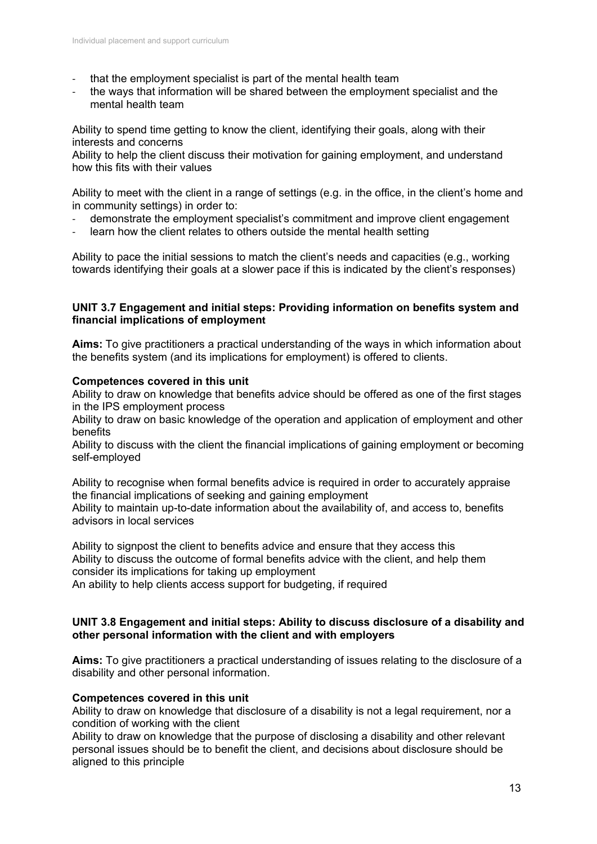- that the employment specialist is part of the mental health team
- the ways that information will be shared between the employment specialist and the mental health team

Ability to spend time getting to know the client, identifying their goals, along with their interests and concerns

Ability to help the client discuss their motivation for gaining employment, and understand how this fits with their values

Ability to meet with the client in a range of settings (e.g. in the office, in the client's home and in community settings) in order to:

- demonstrate the employment specialist's commitment and improve client engagement
- learn how the client relates to others outside the mental health setting

Ability to pace the initial sessions to match the client's needs and capacities (e.g., working towards identifying their goals at a slower pace if this is indicated by the client's responses)

#### **UNIT 3.7 Engagement and initial steps: Providing information on benefits system and financial implications of employment**

**Aims:** To give practitioners a practical understanding of the ways in which information about the benefits system (and its implications for employment) is offered to clients.

#### **Competences covered in this unit**

Ability to draw on knowledge that benefits advice should be offered as one of the first stages in the IPS employment process

Ability to draw on basic knowledge of the operation and application of employment and other benefits

Ability to discuss with the client the financial implications of gaining employment or becoming self-employed

Ability to recognise when formal benefits advice is required in order to accurately appraise the financial implications of seeking and gaining employment

Ability to maintain up-to-date information about the availability of, and access to, benefits advisors in local services

Ability to signpost the client to benefits advice and ensure that they access this Ability to discuss the outcome of formal benefits advice with the client, and help them consider its implications for taking up employment

An ability to help clients access support for budgeting, if required

#### **UNIT 3.8 Engagement and initial steps: Ability to discuss disclosure of a disability and other personal information with the client and with employers**

**Aims:** To give practitioners a practical understanding of issues relating to the disclosure of a disability and other personal information.

#### **Competences covered in this unit**

Ability to draw on knowledge that disclosure of a disability is not a legal requirement, nor a condition of working with the client

Ability to draw on knowledge that the purpose of disclosing a disability and other relevant personal issues should be to benefit the client, and decisions about disclosure should be aligned to this principle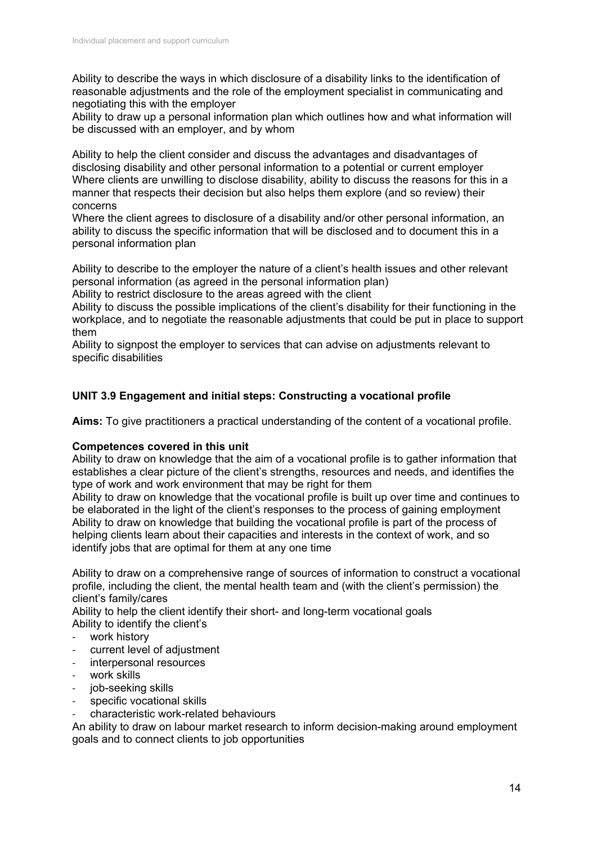Ability to describe the ways in which disclosure of a disability links to the identification of reasonable adjustments and the role of the employment specialist in communicating and negotiating this with the employer

Ability to draw up a personal information plan which outlines how and what information will be discussed with an employer, and by whom

Ability to help the client consider and discuss the advantages and disadvantages of disclosing disability and other personal information to a potential or current employer Where clients are unwilling to disclose disability, ability to discuss the reasons for this in a manner that respects their decision but also helps them explore (and so review) their concerns

Where the client agrees to disclosure of a disability and/or other personal information, an ability to discuss the specific information that will be disclosed and to document this in a personal information plan

Ability to describe to the employer the nature of a client's health issues and other relevant personal information (as agreed in the personal information plan)

Ability to restrict disclosure to the areas agreed with the client

Ability to discuss the possible implications of the client's disability for their functioning in the workplace, and to negotiate the reasonable adjustments that could be put in place to support them

Ability to signpost the employer to services that can advise on adjustments relevant to specific disabilities

## **UNIT 3.9 Engagement and initial steps: Constructing a vocational profile**

**Aims:** To give practitioners a practical understanding of the content of a vocational profile.

#### **Competences covered in this unit**

Ability to draw on knowledge that the aim of a vocational profile is to gather information that establishes a clear picture of the client's strengths, resources and needs, and identifies the type of work and work environment that may be right for them

Ability to draw on knowledge that the vocational profile is built up over time and continues to be elaborated in the light of the client's responses to the process of gaining employment Ability to draw on knowledge that building the vocational profile is part of the process of helping clients learn about their capacities and interests in the context of work, and so identify jobs that are optimal for them at any one time

Ability to draw on a comprehensive range of sources of information to construct a vocational profile, including the client, the mental health team and (with the client's permission) the client's family/cares

Ability to help the client identify their short- and long-term vocational goals Ability to identify the client's

- work history
- current level of adjustment
- interpersonal resources
- work skills
- job-seeking skills
- specific vocational skills
- characteristic work-related behaviours

An ability to draw on labour market research to inform decision-making around employment goals and to connect clients to job opportunities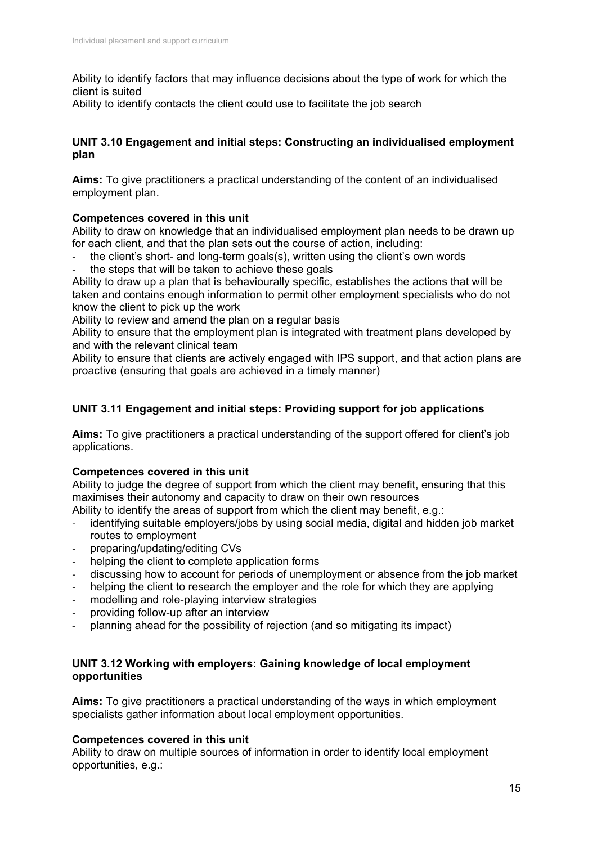Ability to identify factors that may influence decisions about the type of work for which the client is suited

Ability to identify contacts the client could use to facilitate the job search

## **UNIT 3.10 Engagement and initial steps: Constructing an individualised employment plan**

**Aims:** To give practitioners a practical understanding of the content of an individualised employment plan.

## **Competences covered in this unit**

Ability to draw on knowledge that an individualised employment plan needs to be drawn up for each client, and that the plan sets out the course of action, including:

- the client's short- and long-term goals(s), written using the client's own words
- the steps that will be taken to achieve these goals

Ability to draw up a plan that is behaviourally specific, establishes the actions that will be taken and contains enough information to permit other employment specialists who do not know the client to pick up the work

Ability to review and amend the plan on a regular basis

Ability to ensure that the employment plan is integrated with treatment plans developed by and with the relevant clinical team

Ability to ensure that clients are actively engaged with IPS support, and that action plans are proactive (ensuring that goals are achieved in a timely manner)

## **UNIT 3.11 Engagement and initial steps: Providing support for job applications**

**Aims:** To give practitioners a practical understanding of the support offered for client's job applications.

#### **Competences covered in this unit**

Ability to judge the degree of support from which the client may benefit, ensuring that this maximises their autonomy and capacity to draw on their own resources

Ability to identify the areas of support from which the client may benefit, e.g.:

- identifying suitable employers/jobs by using social media, digital and hidden job market routes to employment
- preparing/updating/editing CVs
- helping the client to complete application forms
- discussing how to account for periods of unemployment or absence from the job market
- helping the client to research the employer and the role for which they are applying
- modelling and role-playing interview strategies
- providing follow-up after an interview
- planning ahead for the possibility of rejection (and so mitigating its impact)

#### **UNIT 3.12 Working with employers: Gaining knowledge of local employment opportunities**

**Aims:** To give practitioners a practical understanding of the ways in which employment specialists gather information about local employment opportunities.

#### **Competences covered in this unit**

Ability to draw on multiple sources of information in order to identify local employment opportunities, e.g.: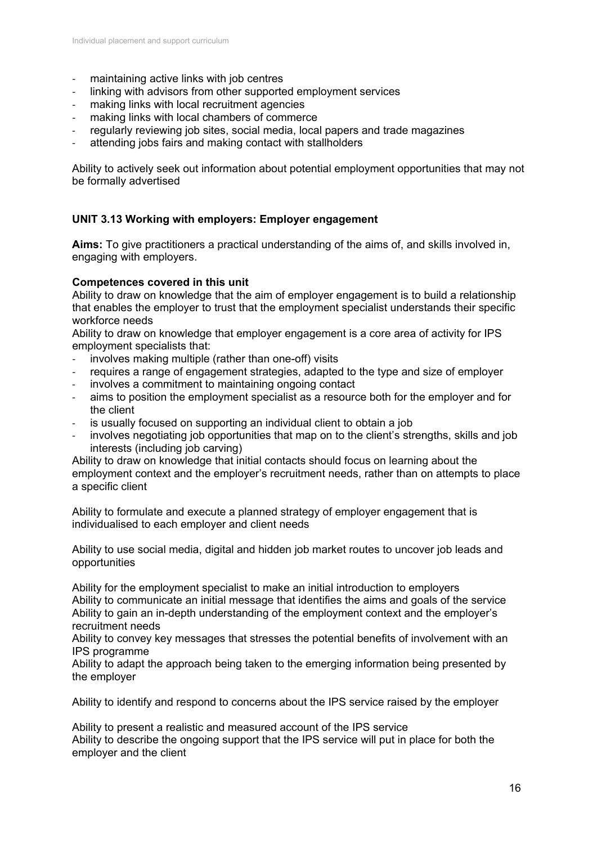- maintaining active links with job centres
- linking with advisors from other supported employment services
- making links with local recruitment agencies
- making links with local chambers of commerce
- regularly reviewing job sites, social media, local papers and trade magazines
- attending jobs fairs and making contact with stallholders

Ability to actively seek out information about potential employment opportunities that may not be formally advertised

#### **UNIT 3.13 Working with employers: Employer engagement**

**Aims:** To give practitioners a practical understanding of the aims of, and skills involved in, engaging with employers.

#### **Competences covered in this unit**

Ability to draw on knowledge that the aim of employer engagement is to build a relationship that enables the employer to trust that the employment specialist understands their specific workforce needs

Ability to draw on knowledge that employer engagement is a core area of activity for IPS employment specialists that:

- involves making multiple (rather than one-off) visits
- requires a range of engagement strategies, adapted to the type and size of employer
- involves a commitment to maintaining ongoing contact
- aims to position the employment specialist as a resource both for the employer and for the client
- is usually focused on supporting an individual client to obtain a job
- involves negotiating job opportunities that map on to the client's strengths, skills and job interests (including job carving)

Ability to draw on knowledge that initial contacts should focus on learning about the employment context and the employer's recruitment needs, rather than on attempts to place a specific client

Ability to formulate and execute a planned strategy of employer engagement that is individualised to each employer and client needs

Ability to use social media, digital and hidden job market routes to uncover job leads and opportunities

Ability for the employment specialist to make an initial introduction to employers Ability to communicate an initial message that identifies the aims and goals of the service Ability to gain an in-depth understanding of the employment context and the employer's recruitment needs

Ability to convey key messages that stresses the potential benefits of involvement with an IPS programme

Ability to adapt the approach being taken to the emerging information being presented by the employer

Ability to identify and respond to concerns about the IPS service raised by the employer

Ability to present a realistic and measured account of the IPS service Ability to describe the ongoing support that the IPS service will put in place for both the employer and the client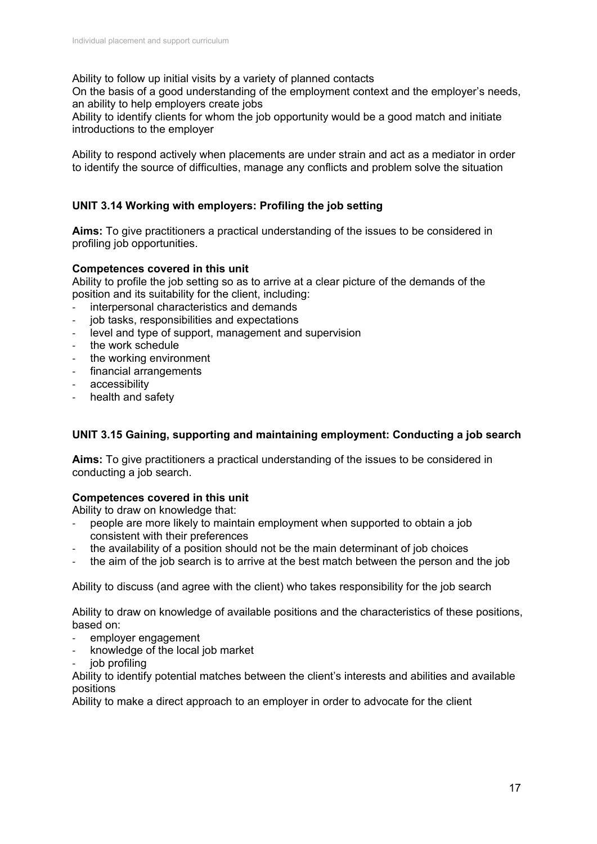Ability to follow up initial visits by a variety of planned contacts

On the basis of a good understanding of the employment context and the employer's needs, an ability to help employers create jobs

Ability to identify clients for whom the job opportunity would be a good match and initiate introductions to the employer

Ability to respond actively when placements are under strain and act as a mediator in order to identify the source of difficulties, manage any conflicts and problem solve the situation

## **UNIT 3.14 Working with employers: Profiling the job setting**

**Aims:** To give practitioners a practical understanding of the issues to be considered in profiling job opportunities.

#### **Competences covered in this unit**

Ability to profile the job setting so as to arrive at a clear picture of the demands of the position and its suitability for the client, including:

- interpersonal characteristics and demands
- job tasks, responsibilities and expectations
- level and type of support, management and supervision
- the work schedule
- the working environment
- financial arrangements
- accessibility
- health and safety

#### **UNIT 3.15 Gaining, supporting and maintaining employment: Conducting a job search**

**Aims:** To give practitioners a practical understanding of the issues to be considered in conducting a job search.

#### **Competences covered in this unit**

Ability to draw on knowledge that:

- people are more likely to maintain employment when supported to obtain a job consistent with their preferences
- the availability of a position should not be the main determinant of job choices
- the aim of the job search is to arrive at the best match between the person and the job

Ability to discuss (and agree with the client) who takes responsibility for the job search

Ability to draw on knowledge of available positions and the characteristics of these positions, based on:

- employer engagement
- knowledge of the local job market
- job profiling

Ability to identify potential matches between the client's interests and abilities and available positions

Ability to make a direct approach to an employer in order to advocate for the client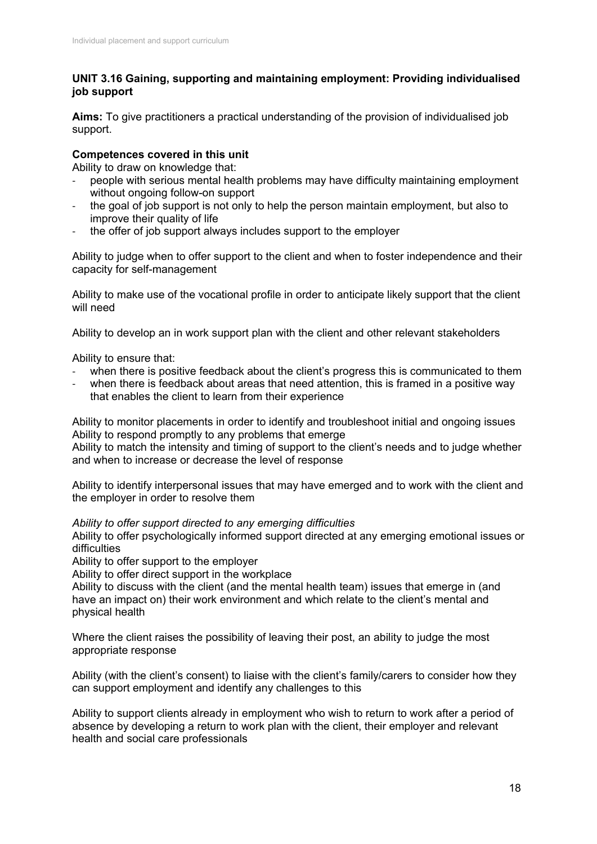## **UNIT 3.16 Gaining, supporting and maintaining employment: Providing individualised job support**

**Aims:** To give practitioners a practical understanding of the provision of individualised job support.

## **Competences covered in this unit**

Ability to draw on knowledge that:

- people with serious mental health problems may have difficulty maintaining employment without ongoing follow-on support
- the goal of job support is not only to help the person maintain employment, but also to improve their quality of life
- the offer of job support always includes support to the employer

Ability to judge when to offer support to the client and when to foster independence and their capacity for self-management

Ability to make use of the vocational profile in order to anticipate likely support that the client will need

Ability to develop an in work support plan with the client and other relevant stakeholders

Ability to ensure that:

- when there is positive feedback about the client's progress this is communicated to them
- when there is feedback about areas that need attention, this is framed in a positive way that enables the client to learn from their experience

Ability to monitor placements in order to identify and troubleshoot initial and ongoing issues Ability to respond promptly to any problems that emerge

Ability to match the intensity and timing of support to the client's needs and to judge whether and when to increase or decrease the level of response

Ability to identify interpersonal issues that may have emerged and to work with the client and the employer in order to resolve them

#### *Ability to offer support directed to any emerging difficulties*

Ability to offer psychologically informed support directed at any emerging emotional issues or difficulties

Ability to offer support to the employer

Ability to offer direct support in the workplace

Ability to discuss with the client (and the mental health team) issues that emerge in (and have an impact on) their work environment and which relate to the client's mental and physical health

Where the client raises the possibility of leaving their post, an ability to judge the most appropriate response

Ability (with the client's consent) to liaise with the client's family/carers to consider how they can support employment and identify any challenges to this

Ability to support clients already in employment who wish to return to work after a period of absence by developing a return to work plan with the client, their employer and relevant health and social care professionals